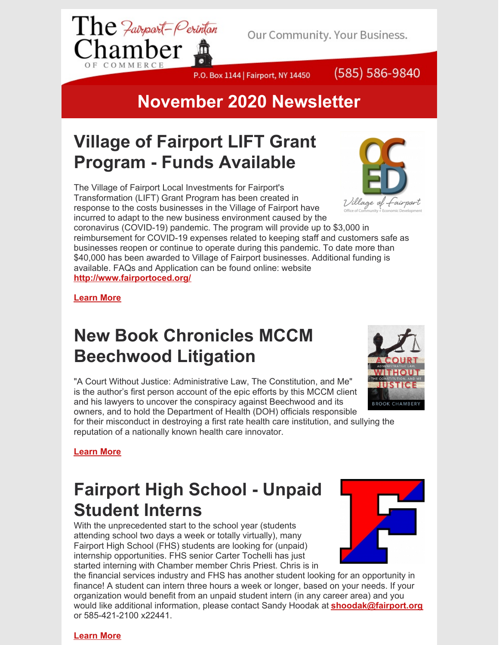

Our Community. Your Business.

P.O. Box 1144 | Fairport, NY 14450



#### **November 2020 Newsletter**

## **Village of Fairport LIFT Grant Program - Funds Available**

The Village of Fairport Local Investments for Fairport's Transformation (LIFT) Grant Program has been created in response to the costs businesses in the Village of Fairport have incurred to adapt to the new business environment caused by the

coronavirus (COVID-19) pandemic. The program will provide up to \$3,000 in reimbursement for COVID-19 expenses related to keeping staff and customers safe as businesses reopen or continue to operate during this pandemic. To date more than \$40,000 has been awarded to Village of Fairport businesses. Additional funding is available. FAQs and Application can be found online: website **<http://www.fairportoced.org/>**

**[Learn](http://www.fairportoced.org/) More**

#### **New Book Chronicles MCCM Beechwood Litigation**

"A Court Without Justice: Administrative Law, The Constitution, and Me" is the author's first person account of the epic efforts by this MCCM client and his lawyers to uncover the conspiracy against Beechwood and its owners, and to hold the Department of Health (DOH) officials responsible

for their misconduct in destroying a first rate health care institution, and sullying the reputation of a nationally known health care innovator.



#### **[Learn](https://www.mccmlaw.com/news/2020/09/18/new-book-chronicles-mccm-beechwood-litigation) More**

### **Fairport High School - Unpaid Student Interns**

With the unprecedented start to the school year (students attending school two days a week or totally virtually), many Fairport High School (FHS) students are looking for (unpaid) internship opportunities. FHS senior Carter Tochelli has just started interning with Chamber member Chris Priest. Chris is in

the financial services industry and FHS has another student looking for an opportunity in finance! A student can intern three hours a week or longer, based on your needs. If your organization would benefit from an unpaid student intern (in any career area) and you would like additional information, please contact Sandy Hoodak at **[shoodak@fairport.org](mailto:shoodak@fairport.org)** or 585-421-2100 x22441.



#### **[Learn](https://sites.google.com/fairport.org/shoodak/home) More**



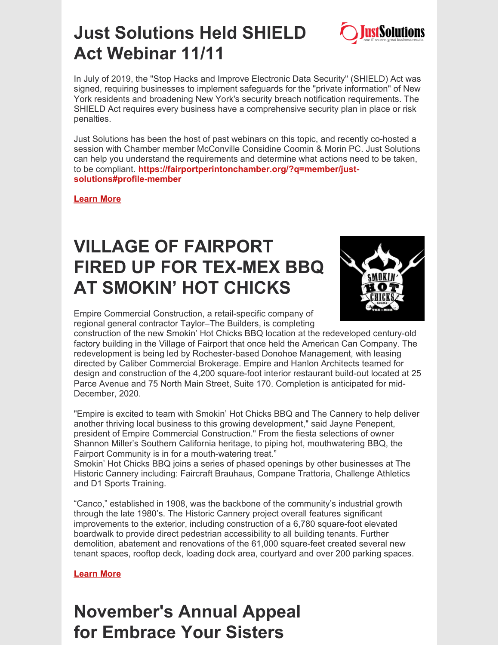

#### **Just Solutions Held SHIELD Act Webinar 11/11**

In July of 2019, the "Stop Hacks and Improve Electronic Data Security" (SHIELD) Act was signed, requiring businesses to implement safeguards for the "private information" of New York residents and broadening New York's security breach notification requirements. The SHIELD Act requires every business have a comprehensive security plan in place or risk penalties.

Just Solutions has been the host of past webinars on this topic, and recently co-hosted a session with Chamber member McConville Considine Coomin & Morin PC. Just Solutions can help you understand the requirements and determine what actions need to be taken, to be compliant. **[https://fairportperintonchamber.org/?q=member/just](https://fairportperintonchamber.org/?q=member/just-solutions#profile-member)solutions#profile-member**

**[Learn](https://fairportperintonchamber.org/?q=member/just-solutions#profile-member) More**

## **VILLAGE OF FAIRPORT FIRED UP FOR TEX-MEX BBQ AT SMOKIN' HOT CHICKS**



Empire Commercial Construction, a retail-specific company of regional general contractor Taylor–The Builders, is completing

construction of the new Smokin' Hot Chicks BBQ location at the redeveloped century-old factory building in the Village of Fairport that once held the American Can Company. The redevelopment is being led by Rochester-based Donohoe Management, with leasing directed by Caliber Commercial Brokerage. Empire and Hanlon Architects teamed for design and construction of the 4,200 square-foot interior restaurant build-out located at 25 Parce Avenue and 75 North Main Street, Suite 170. Completion is anticipated for mid-December, 2020.

"Empire is excited to team with Smokin' Hot Chicks BBQ and The Cannery to help deliver another thriving local business to this growing development," said Jayne Penepent, president of Empire Commercial Construction." From the fiesta selections of owner Shannon Miller's Southern California heritage, to piping hot, mouthwatering BBQ, the Fairport Community is in for a mouth-watering treat."

Smokin' Hot Chicks BBQ joins a series of phased openings by other businesses at The Historic Cannery including: Faircraft Brauhaus, Compane Trattoria, Challenge Athletics and D1 Sports Training.

"Canco," established in 1908, was the backbone of the community's industrial growth through the late 1980's. The Historic Cannery project overall features significant improvements to the exterior, including construction of a 6,780 square-foot elevated boardwalk to provide direct pedestrian accessibility to all building tenants. Further demolition, abatement and renovations of the 61,000 square-feet created several new tenant spaces, rooftop deck, loading dock area, courtyard and over 200 parking spaces.

**[Learn](http://www.empirecommercialconstruction.com/smokinhotchicks/) More**

## **November's Annual Appeal for Embrace Your Sisters**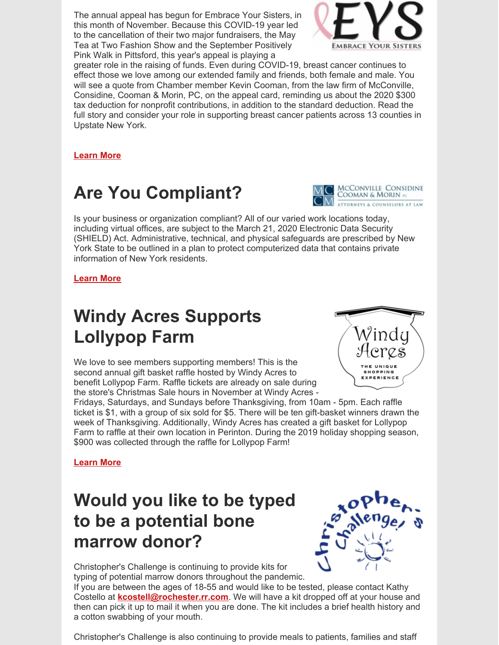The annual appeal has begun for Embrace Your Sisters, in this month of November. Because this COVID-19 year led to the cancellation of their two major fundraisers, the May Tea at Two Fashion Show and the September Positively Pink Walk in Pittsford, this year's appeal is playing a



greater role in the raising of funds. Even during COVID-19, breast cancer continues to effect those we love among our extended family and friends, both female and male. You will see a quote from Chamber member Kevin Cooman, from the law firm of McConville, Considine, Cooman & Morin, PC, on the appeal card, reminding us about the 2020 \$300 tax deduction for nonprofit contributions, in addition to the standard deduction. Read the full story and consider your role in supporting breast cancer patients across 13 counties in Upstate New York.

**[Learn](https://www.embraceyoursisters.org/ways-to-donate) More**

### **Are You Compliant?**



Is your business or organization compliant? All of our varied work locations today, including virtual offices, are subject to the March 21, 2020 Electronic Data Security (SHIELD) Act. Administrative, technical, and physical safeguards are prescribed by New York State to be outlined in a plan to protect computerized data that contains private information of New York residents.

#### **[Learn](https://www.mccmlaw.com/news/2020/10/27/dont-forget-your-wisp) More**

## **Windy Acres Supports Lollypop Farm**

We love to see members supporting members! This is the second annual gift basket raffle hosted by Windy Acres to benefit Lollypop Farm. Raffle tickets are already on sale during the store's Christmas Sale hours in November at Windy Acres -



Fridays, Saturdays, and Sundays before Thanksgiving, from 10am - 5pm. Each raffle ticket is \$1, with a group of six sold for \$5. There will be ten gift-basket winners drawn the week of Thanksgiving. Additionally, Windy Acres has created a gift basket for Lollypop Farm to raffle at their own location in Perinton. During the 2019 holiday shopping season, \$900 was collected through the raffle for Lollypop Farm!

**[Learn](https://www.facebook.com/WindyAcresAntiques) More**

### **Would you like to be typed to be a potential bone marrow donor?**



Christopher's Challenge is continuing to provide kits for typing of potential marrow donors throughout the pandemic.

If you are between the ages of 18-55 and would like to be tested, please contact Kathy Costello at **[kcostell@rochester.rr.com](mailto:kcostell@rochester.rr.com)**. We will have a kit dropped off at your house and then can pick it up to mail it when you are done. The kit includes a brief health history and a cotton swabbing of your mouth.

Christopher's Challenge is also continuing to provide meals to patients, families and staff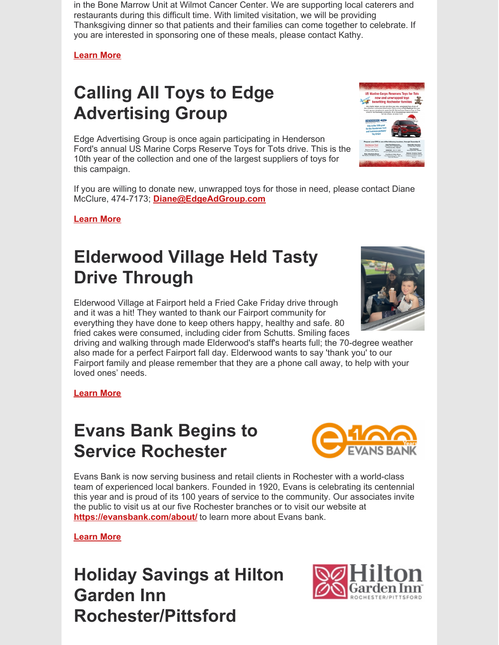in the Bone Marrow Unit at Wilmot Cancer Center. We are supporting local caterers and restaurants during this difficult time. With limited visitation, we will be providing Thanksgiving dinner so that patients and their families can come together to celebrate. If you are interested in sponsoring one of these meals, please contact Kathy.

**[Learn](http://www.christopherschallenge.org/) More**

# **Calling All Toys to Edge Advertising Group**

Edge Advertising Group is once again participating in Henderson Ford's annual US Marine Corps Reserve Toys for Tots drive. This is the 10th year of the collection and one of the largest suppliers of toys for this campaign.

If you are willing to donate new, unwrapped toys for those in need, please contact Diane McClure, 474-7173; **[Diane@EdgeAdGroup.com](mailto:Diane@EdgeAdGroup.com)**

**[Learn](https://fairportperintonchamber.org/?q=member/edge-advertising-group#profile-member) More**

# **Elderwood Village Held Tasty Drive Through**

Elderwood Village at Fairport held a Fried Cake Friday drive through and it was a hit! They wanted to thank our Fairport community for everything they have done to keep others happy, healthy and safe. 80 fried cakes were consumed, including cider from Schutts. Smiling faces

driving and walking through made Elderwood's staff's hearts full; the 70-degree weather also made for a perfect Fairport fall day. Elderwood wants to say 'thank you' to our Fairport family and please remember that they are a phone call away, to help with your loved ones' needs.

**[Learn](https://www.elderwood.com/elderwood-village-at-fairport/) More**

## **Evans Bank Begins to Service Rochester**



#### **[Learn](https://evansbank.com/about/) More**

**Holiday Savings at Hilton Garden Inn Rochester/Pittsford**





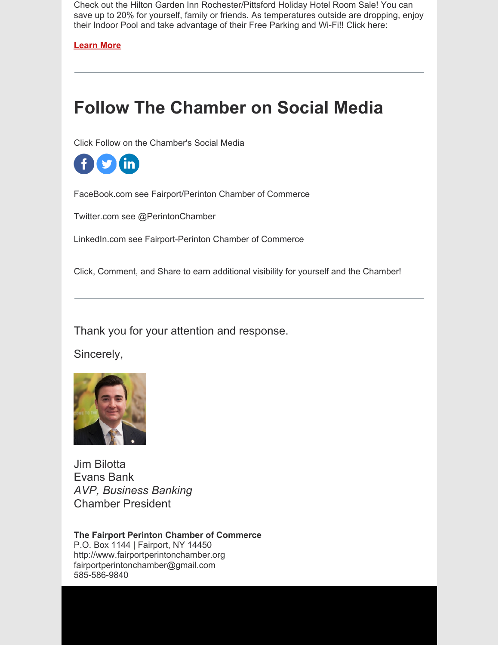Check out the Hilton Garden Inn Rochester/Pittsford Holiday Hotel Room Sale! You can save up to 20% for yourself, family or friends. As temperatures outside are dropping, enjoy their Indoor Pool and take advantage of their Free Parking and Wi-Fi!! Click here:

**[Learn](http://www.rochesterpittsford.hgi.com/) More**

#### **Follow The Chamber on Social Media**

Click Follow on the Chamber's Social Media

 $\bullet$ in.

FaceBook.com see Fairport/Perinton Chamber of Commerce

Twitter.com see @PerintonChamber

LinkedIn.com see Fairport-Perinton Chamber of Commerce

Click, Comment, and Share to earn additional visibility for yourself and the Chamber!

Thank you for your attention and response.

Sincerely,



Jim Bilotta Evans Bank *AVP, Business Banking* Chamber President

**The Fairport Perinton Chamber of Commerce** P.O. Box 1144 | Fairport, NY 14450 http://www.fairportperintonchamber.org fairportperintonchamber@gmail.com 585-586-9840